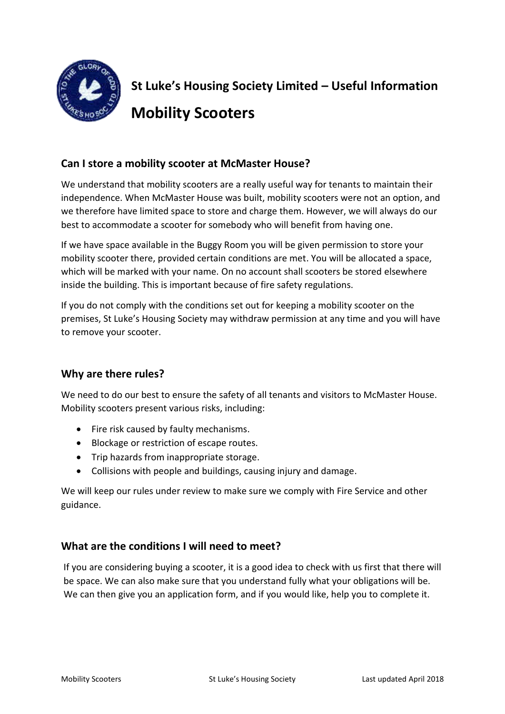

# **St Luke's Housing Society Limited – Useful Information Mobility Scooters**

## **Can I store a mobility scooter at McMaster House?**

We understand that mobility scooters are a really useful way for tenants to maintain their independence. When McMaster House was built, mobility scooters were not an option, and we therefore have limited space to store and charge them. However, we will always do our best to accommodate a scooter for somebody who will benefit from having one.

If we have space available in the Buggy Room you will be given permission to store your mobility scooter there, provided certain conditions are met. You will be allocated a space, which will be marked with your name. On no account shall scooters be stored elsewhere inside the building. This is important because of fire safety regulations.

If you do not comply with the conditions set out for keeping a mobility scooter on the premises, St Luke's Housing Society may withdraw permission at any time and you will have to remove your scooter.

#### **Why are there rules?**

We need to do our best to ensure the safety of all tenants and visitors to McMaster House. Mobility scooters present various risks, including:

- Fire risk caused by faulty mechanisms.
- Blockage or restriction of escape routes.
- Trip hazards from inappropriate storage.
- Collisions with people and buildings, causing injury and damage.

We will keep our rules under review to make sure we comply with Fire Service and other guidance.

#### **What are the conditions I will need to meet?**

If you are considering buying a scooter, it is a good idea to check with us first that there will be space. We can also make sure that you understand fully what your obligations will be. We can then give you an application form, and if you would like, help you to complete it.